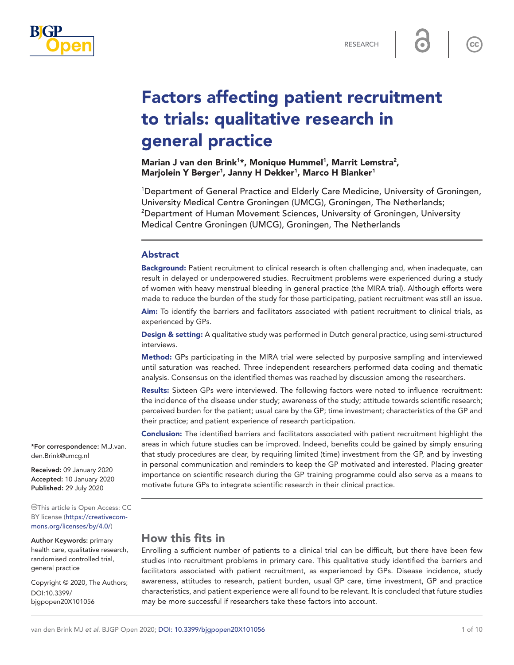

 $cc$ 

# Factors affecting patient recruitment to trials: qualitative research in general practice

Marian J van den Brink<sup>1\*</sup>, Monique Hummel<sup>1</sup>, Marrit Lemstra<sup>2</sup>, Marjolein Y Berger<sup>1</sup>, Janny H Dekker<sup>1</sup>, Marco H Blanker<sup>1</sup>

1 Department of General Practice and Elderly Care Medicine, University of Groningen, University Medical Centre Groningen (UMCG), Groningen, The Netherlands; 2 <sup>2</sup>Department of Human Movement Sciences, University of Groningen, University Medical Centre Groningen (UMCG), Groningen, The Netherlands

#### Abstract

Background: Patient recruitment to clinical research is often challenging and, when inadequate, can result in delayed or underpowered studies. Recruitment problems were experienced during a study of women with heavy menstrual bleeding in general practice (the MIRA trial). Although efforts were made to reduce the burden of the study for those participating, patient recruitment was still an issue.

Aim: To identify the barriers and facilitators associated with patient recruitment to clinical trials, as experienced by GPs.

**Design & setting:** A qualitative study was performed in Dutch general practice, using semi-structured interviews.

Method: GPs participating in the MIRA trial were selected by purposive sampling and interviewed until saturation was reached. Three independent researchers performed data coding and thematic analysis. Consensus on the identified themes was reached by discussion among the researchers.

Results: Sixteen GPs were interviewed. The following factors were noted to influence recruitment: the incidence of the disease under study; awareness of the study; attitude towards scientific research; perceived burden for the patient; usual care by the GP; time investment; characteristics of the GP and their practice; and patient experience of research participation.

Conclusion: The identified barriers and facilitators associated with patient recruitment highlight the areas in which future studies can be improved. Indeed, benefits could be gained by simply ensuring that study procedures are clear, by requiring limited (time) investment from the GP, and by investing in personal communication and reminders to keep the GP motivated and interested. Placing greater importance on scientific research during the GP training programme could also serve as a means to motivate future GPs to integrate scientific research in their clinical practice.

# How this fits in

Enrolling a sufficient number of patients to a clinical trial can be difficult, but there have been few studies into recruitment problems in primary care. This qualitative study identified the barriers and facilitators associated with patient recruitment, as experienced by GPs. Disease incidence, study awareness, attitudes to research, patient burden, usual GP care, time investment, GP and practice characteristics, and patient experience were all found to be relevant. It is concluded that future studies may be more successful if researchers take these factors into account.

\*For correspondence: [M.J.van.](mailto:M.J.van.den.Brink@umcg.nl) [den.Brink@umcg.nl](mailto:M.J.van.den.Brink@umcg.nl)

Received: 09 January 2020 Accepted: 10 January 2020 Published: 29 July 2020

This article is Open Access: CC BY license [\(https://creativecom](https://creativecommons.org/licenses/by/4.0/)[mons.org/licenses/by/4.0/\)](https://creativecommons.org/licenses/by/4.0/)

Author Keywords: primary health care, qualitative research, randomised controlled trial, general practice

Copyright © 2020, The Authors; DOI:10.3399/ bjgpopen20X101056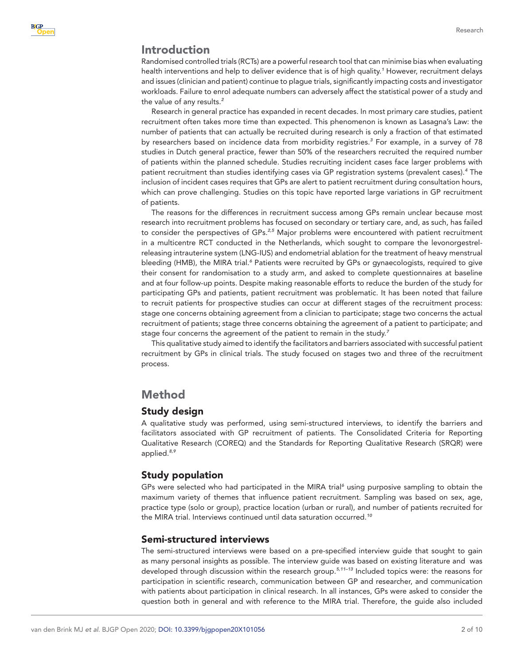## Introduction

Randomised controlled trials (RCTs) are a powerful research tool that can minimise bias when evaluating health interventions and help to deliver evidence that is of high quality.*[1](#page-8-0)* However, recruitment delays and issues (clinician and patient) continue to plague trials, significantly impacting costs and investigator workloads. Failure to enrol adequate numbers can adversely affect the statistical power of a study and the value of any results.*[2](#page-8-1)*

Research in general practice has expanded in recent decades. In most primary care studies, patient recruitment often takes more time than expected. This phenomenon is known as Lasagna's Law: the number of patients that can actually be recruited during research is only a fraction of that estimated by researchers based on incidence data from morbidity registries.*[3](#page-8-2)* For example, in a survey of 78 studies in Dutch general practice, fewer than 50% of the researchers recruited the required number of patients within the planned schedule. Studies recruiting incident cases face larger problems with patient recruitment than studies identifying cases via GP registration systems (prevalent cases).*[4](#page-8-3)* The inclusion of incident cases requires that GPs are alert to patient recruitment during consultation hours, which can prove challenging. Studies on this topic have reported large variations in GP recruitment of patients.

The reasons for the differences in recruitment success among GPs remain unclear because most research into recruitment problems has focused on secondary or tertiary care, and, as such, has failed to consider the perspectives of GPs.*[2,5](#page-8-1)* Major problems were encountered with patient recruitment in a multicentre RCT conducted in the Netherlands, which sought to compare the levonorgestrelreleasing intrauterine system (LNG-IUS) and endometrial ablation for the treatment of heavy menstrual bleeding (HMB), the MIRA trial.<sup>[6](#page-8-4)</sup> Patients were recruited by GPs or gynaecologists, required to give their consent for randomisation to a study arm, and asked to complete questionnaires at baseline and at four follow-up points. Despite making reasonable efforts to reduce the burden of the study for participating GPs and patients, patient recruitment was problematic. It has been noted that failure to recruit patients for prospective studies can occur at different stages of the recruitment process: stage one concerns obtaining agreement from a clinician to participate; stage two concerns the actual recruitment of patients; stage three concerns obtaining the agreement of a patient to participate; and stage four concerns the agreement of the patient to remain in the study.*[7](#page-8-5)*

This qualitative study aimed to identify the facilitators and barriers associated with successful patient recruitment by GPs in clinical trials. The study focused on stages two and three of the recruitment process.

## Method

#### Study design

A qualitative study was performed, using semi-structured interviews, to identify the barriers and facilitators associated with GP recruitment of patients. The Consolidated Criteria for Reporting Qualitative Research (COREQ) and the Standards for Reporting Qualitative Research (SRQR) were applied.*[8,9](#page-8-6)*

#### Study population

GPs were selected who had participated in the MIRA trial<sup>[6](#page-8-4)</sup> using purposive sampling to obtain the maximum variety of themes that influence patient recruitment. Sampling was based on sex, age, practice type (solo or group), practice location (urban or rural), and number of patients recruited for the MIRA trial. Interviews continued until data saturation occurred.*[10](#page-8-7)*

#### Semi-structured interviews

The semi-structured interviews were based on a pre-specified interview guide that sought to gain as many personal insights as possible. The interview guide was based on existing literature and was developed through discussion within the research group.*[5,11–13](#page-8-8)* Included topics were: the reasons for participation in scientific research, communication between GP and researcher, and communication with patients about participation in clinical research. In all instances, GPs were asked to consider the question both in general and with reference to the MIRA trial. Therefore, the guide also included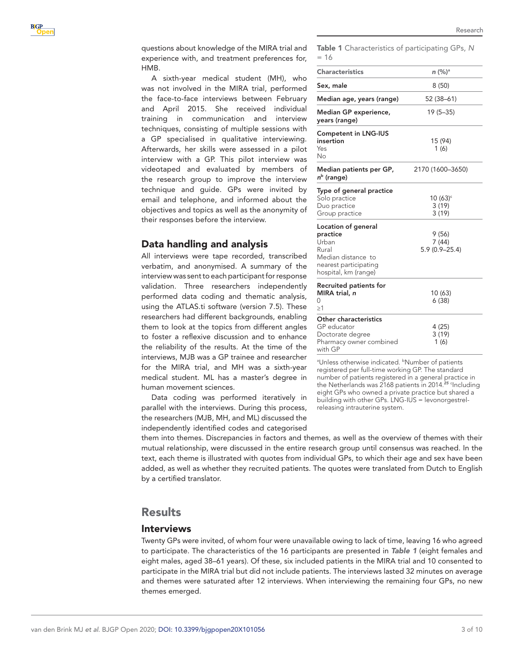A sixth-year medical student (MH), who was not involved in the MIRA trial, performed the face-to-face interviews between February and April 2015. She received individual training in communication and interview techniques, consisting of multiple sessions with a GP specialised in qualitative interviewing. Afterwards, her skills were assessed in a pilot interview with a GP. This pilot interview was videotaped and evaluated by members of the research group to improve the interview technique and guide. GPs were invited by email and telephone, and informed about the objectives and topics as well as the anonymity of their responses before the interview.

# Data handling and analysis

All interviews were tape recorded, transcribed verbatim, and anonymised. A summary of the interview was sent to each participant for response validation. Three researchers independently performed data coding and thematic analysis, using the ATLAS.ti software (version 7.5). These researchers had different backgrounds, enabling them to look at the topics from different angles to foster a reflexive discussion and to enhance the reliability of the results. At the time of the interviews, MJB was a GP trainee and researcher for the MIRA trial, and MH was a sixth-year medical student. ML has a master's degree in human movement sciences.

Data coding was performed iteratively in parallel with the interviews. During this process, the researchers (MJB, MH, and ML) discussed the independently identified codes and categorised Research

| $=16$                                                                                                                            |                                                                                 |
|----------------------------------------------------------------------------------------------------------------------------------|---------------------------------------------------------------------------------|
| <b>Characteristics</b>                                                                                                           | n (%) <sup>a</sup>                                                              |
| Sex, male                                                                                                                        | 8(50)                                                                           |
| Median age, years (range)                                                                                                        | 52 (38-61)                                                                      |
| Median GP experience,<br>years (range)                                                                                           | $19(5 - 35)$                                                                    |
| <b>Competent in LNG-IUS</b><br>insertion<br>Yes<br>Νo                                                                            | 15 (94)<br>1(6)                                                                 |
| Median patients per GP,<br>n <sup>b</sup> (range)                                                                                | 2170 (1600-3650)                                                                |
| Type of general practice<br>Solo practice<br>Duo practice<br>Group practice<br>Location of general<br>practice<br>Urban<br>Rural | $10(63)$ <sup>c</sup><br>3(19)<br>3(19)<br>9 (56)<br>7(44)<br>$5.9(0.9 - 25.4)$ |
| Median distance to<br>nearest participating<br>hospital, km (range)                                                              |                                                                                 |
| Recruited patients for<br>MIRA trial, n<br>N<br>$\geq$ 1                                                                         | 10 (63)<br>6(38)                                                                |
| Other characteristics<br>GP educator<br>Doctorate degree<br>Pharmacy owner combined<br>with GP                                   | 4 (25)<br>3(19)<br>1(6)                                                         |

<span id="page-2-0"></span>Table 1 Characteristics of participating GPs, *N*

<sup>a</sup>Unless otherwise indicated. <sup>b</sup>Number of patients registered per full-time working GP. The standard number of patients registered in a general practice in the Netherlands was 2168 patients in 2014.*[25](#page-9-0)* <sup>c</sup> Including eight GPs who owned a private practice but shared a building with other GPs. LNG-IUS = levonorgestrelreleasing intrauterine system.

them into themes. Discrepancies in factors and themes, as well as the overview of themes with their mutual relationship, were discussed in the entire research group until consensus was reached. In the text, each theme is illustrated with quotes from individual GPs, to which their age and sex have been added, as well as whether they recruited patients. The quotes were translated from Dutch to English by a certified translator.

# Results

## Interviews

Twenty GPs were invited, of whom four were unavailable owing to lack of time, leaving 16 who agreed to participate. The characteristics of the 16 participants are presented in *[Table 1](#page-2-0)* (eight females and eight males, aged 38–61 years). Of these, six included patients in the MIRA trial and 10 consented to participate in the MIRA trial but did not include patients. The interviews lasted 32 minutes on average and themes were saturated after 12 interviews. When interviewing the remaining four GPs, no new themes emerged.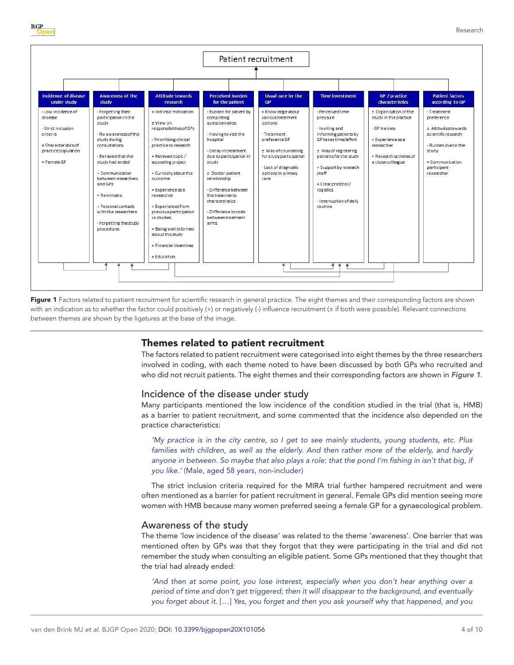



<span id="page-3-0"></span>Figure 1 Factors related to patient recruitment for scientific research in general practice. The eight themes and their corresponding factors are shown with an indication as to whether the factor could positively (+) or negatively (-) influence recruitment (± if both were possible). Relevant connections between themes are shown by the ligatures at the base of the image.

### Themes related to patient recruitment

The factors related to patient recruitment were categorised into eight themes by the three researchers involved in coding, with each theme noted to have been discussed by both GPs who recruited and who did not recruit patients. The eight themes and their corresponding factors are shown in *[Figure 1](#page-3-0)*.

### Incidence of the disease under study

Many participants mentioned the low incidence of the condition studied in the trial (that is, HMB) as a barrier to patient recruitment, and some commented that the incidence also depended on the practice characteristics:

*'My practice is in the city centre, so I get to see mainly students, young students, etc. Plus*  families with children, as well as the elderly. And then rather more of the elderly, and hardly *anyone in between. So maybe that also plays a role: that the pond I'm fishing in isn't that big, if you like.'* (Male, aged 58 years, non-includer)

The strict inclusion criteria required for the MIRA trial further hampered recruitment and were often mentioned as a barrier for patient recruitment in general. Female GPs did mention seeing more women with HMB because many women preferred seeing a female GP for a gynaecological problem.

#### Awareness of the study

The theme 'low incidence of the disease' was related to the theme 'awareness'. One barrier that was mentioned often by GPs was that they forgot that they were participating in the trial and did not remember the study when consulting an eligible patient. Some GPs mentioned that they thought that the trial had already ended:

*'And then at some point, you lose interest, especially when you don't hear anything over a period of time and don't get triggered; then it will disappear to the background, and eventually you forget about it.* […] *Yes, you forget and then you ask yourself why that happened, and you*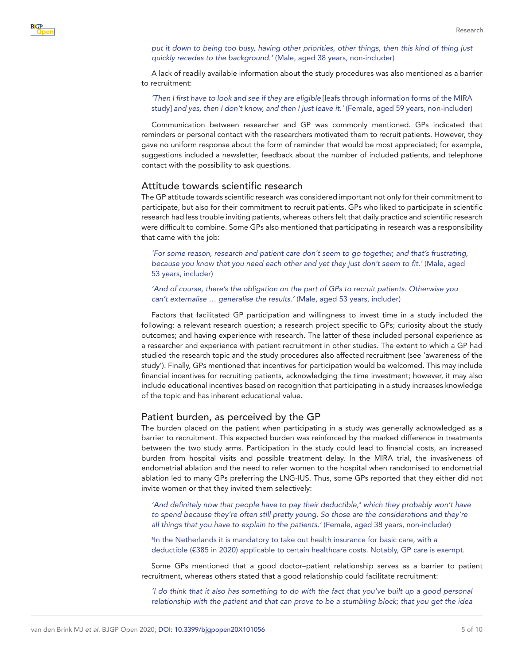**BJGP** 

*put it down to being too busy, having other priorities, other things, then this kind of thing just quickly recedes to the background.'* (Male, aged 38 years, non-includer)

A lack of readily available information about the study procedures was also mentioned as a barrier to recruitment:

*'Then I first have to look and see if they are eligible* [leafs through information forms of the MIRA study] *and yes, then I don't know, and then I just leave it.'* (Female, aged 59 years, non-includer)

Communication between researcher and GP was commonly mentioned. GPs indicated that reminders or personal contact with the researchers motivated them to recruit patients. However, they gave no uniform response about the form of reminder that would be most appreciated; for example, suggestions included a newsletter, feedback about the number of included patients, and telephone contact with the possibility to ask questions.

## Attitude towards scientific research

The GP attitude towards scientific research was considered important not only for their commitment to participate, but also for their commitment to recruit patients. GPs who liked to participate in scientific research had less trouble inviting patients, whereas others felt that daily practice and scientific research were difficult to combine. Some GPs also mentioned that participating in research was a responsibility that came with the job:

*'For some reason, research and patient care don't seem to go together, and that's frustrating, because you know that you need each other and yet they just don't seem to fit.'* (Male, aged 53 years, includer)

*'And of course, there's the obligation on the part of GPs to recruit patients. Otherwise you can't externalise … generalise the results.'* (Male, aged 53 years, includer)

Factors that facilitated GP participation and willingness to invest time in a study included the following: a relevant research question; a research project specific to GPs; curiosity about the study outcomes; and having experience with research. The latter of these included personal experience as a researcher and experience with patient recruitment in other studies. The extent to which a GP had studied the research topic and the study procedures also affected recruitment (see 'awareness of the study'). Finally, GPs mentioned that incentives for participation would be welcomed. This may include financial incentives for recruiting patients, acknowledging the time investment; however, it may also include educational incentives based on recognition that participating in a study increases knowledge of the topic and has inherent educational value.

#### Patient burden, as perceived by the GP

The burden placed on the patient when participating in a study was generally acknowledged as a barrier to recruitment. This expected burden was reinforced by the marked difference in treatments between the two study arms. Participation in the study could lead to financial costs, an increased burden from hospital visits and possible treatment delay. In the MIRA trial, the invasiveness of endometrial ablation and the need to refer women to the hospital when randomised to endometrial ablation led to many GPs preferring the LNG-IUS. Thus, some GPs reported that they either did not invite women or that they invited them selectively:

'And definitely now that people have to pay their deductible,<sup>a</sup> which they probably won't have *to spend because they're often still pretty young. So those are the considerations and they're all things that you have to explain to the patients.'* (Female, aged 38 years, non-includer)

<sup>a</sup>In the Netherlands it is mandatory to take out health insurance for basic care, with a deductible (€385 in 2020) applicable to certain healthcare costs. Notably, GP care is exempt.

Some GPs mentioned that a good doctor–patient relationship serves as a barrier to patient recruitment, whereas others stated that a good relationship could facilitate recruitment:

*'I do think that it also has something to do with the fact that you've built up a good personal relationship with the patient and that can prove to be a stumbling block; that you get the idea*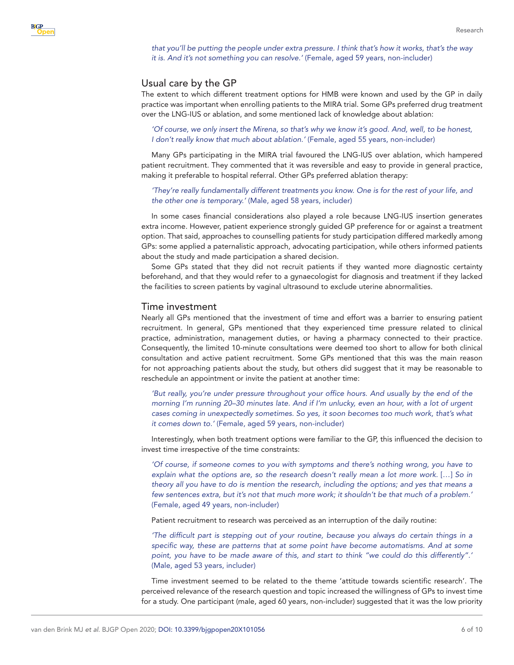*that you'll be putting the people under extra pressure. I think that's how it works, that's the way it is. And it's not something you can resolve.'* (Female, aged 59 years, non-includer)

#### Usual care by the GP

The extent to which different treatment options for HMB were known and used by the GP in daily practice was important when enrolling patients to the MIRA trial. Some GPs preferred drug treatment over the LNG-IUS or ablation, and some mentioned lack of knowledge about ablation:

*'Of course, we only insert the Mirena, so that's why we know it's good. And, well, to be honest, I don't really know that much about ablation.'* (Female, aged 55 years, non-includer)

Many GPs participating in the MIRA trial favoured the LNG-IUS over ablation, which hampered patient recruitment. They commented that it was reversible and easy to provide in general practice, making it preferable to hospital referral. Other GPs preferred ablation therapy:

*'They're really fundamentally different treatments you know. One is for the rest of your life, and the other one is temporary.'* (Male, aged 58 years, includer)

In some cases financial considerations also played a role because LNG-IUS insertion generates extra income. However, patient experience strongly guided GP preference for or against a treatment option. That said, approaches to counselling patients for study participation differed markedly among GPs: some applied a paternalistic approach, advocating participation, while others informed patients about the study and made participation a shared decision.

Some GPs stated that they did not recruit patients if they wanted more diagnostic certainty beforehand, and that they would refer to a gynaecologist for diagnosis and treatment if they lacked the facilities to screen patients by vaginal ultrasound to exclude uterine abnormalities.

#### Time investment

Nearly all GPs mentioned that the investment of time and effort was a barrier to ensuring patient recruitment. In general, GPs mentioned that they experienced time pressure related to clinical practice, administration, management duties, or having a pharmacy connected to their practice. Consequently, the limited 10-minute consultations were deemed too short to allow for both clinical consultation and active patient recruitment. Some GPs mentioned that this was the main reason for not approaching patients about the study, but others did suggest that it may be reasonable to reschedule an appointment or invite the patient at another time:

*'But really, you're under pressure throughout your office hours. And usually by the end of the morning I'm running 20–30 minutes late. And if I'm unlucky, even an hour, with a lot of urgent cases coming in unexpectedly sometimes. So yes, it soon becomes too much work, that's what it comes down to.'* (Female, aged 59 years, non-includer)

Interestingly, when both treatment options were familiar to the GP, this influenced the decision to invest time irrespective of the time constraints:

*'Of course, if someone comes to you with symptoms and there's nothing wrong, you have to explain what the options are, so the research doesn't really mean a lot more work.* […] *So in theory all you have to do is mention the research, including the options; and yes that means a few sentences extra, but it's not that much more work; it shouldn't be that much of a problem.'* (Female, aged 49 years, non-includer)

Patient recruitment to research was perceived as an interruption of the daily routine:

*'The difficult part is stepping out of your routine, because you always do certain things in a*  specific way, these are patterns that at some point have become automatisms. And at some *point, you have to be made aware of this, and start to think "we could do this differently".'* (Male, aged 53 years, includer)

Time investment seemed to be related to the theme 'attitude towards scientific research'. The perceived relevance of the research question and topic increased the willingness of GPs to invest time for a study. One participant (male, aged 60 years, non-includer) suggested that it was the low priority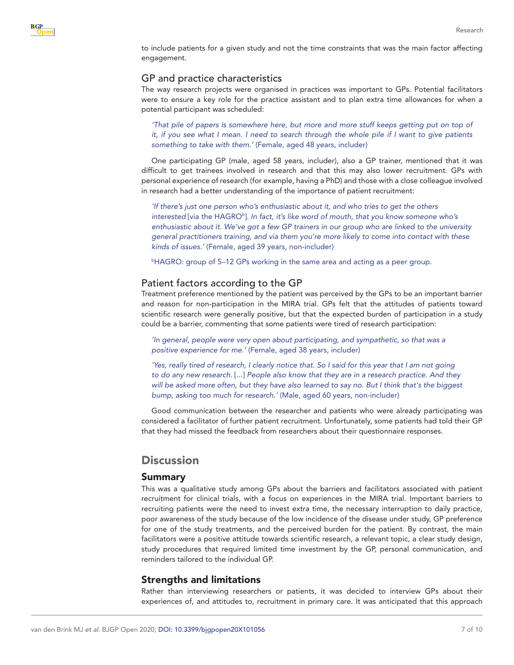to include patients for a given study and not the time constraints that was the main factor affecting engagement.

## GP and practice characteristics

The way research projects were organised in practices was important to GPs. Potential facilitators were to ensure a key role for the practice assistant and to plan extra time allowances for when a potential participant was scheduled:

*'That pile of papers is somewhere here, but more and more stuff keeps getting put on top of it, if you see what I mean. I need to search through the whole pile if I want to give patients something to take with them.'* (Female, aged 48 years, includer)

One participating GP (male, aged 58 years, includer), also a GP trainer, mentioned that it was difficult to get trainees involved in research and that this may also lower recruitment. GPs with personal experience of research (for example, having a PhD) and those with a close colleague involved in research had a better understanding of the importance of patient recruitment:

*'If there's just one person who's enthusiastic about it, and who tries to get the others*  interested [via the HAGRO<sup>b</sup>]. In fact, it's like word of mouth, that you know someone who's *enthusiastic about it. We've got a few GP trainers in our group who are linked to the university general practitioners training, and via them you're more likely to come into contact with these kinds of issues.'* (Female, aged 39 years, non-includer)

b HAGRO: group of 5–12 GPs working in the same area and acting as a peer group.

## Patient factors according to the GP

Treatment preference mentioned by the patient was perceived by the GPs to be an important barrier and reason for non-participation in the MIRA trial. GPs felt that the attitudes of patients toward scientific research were generally positive, but that the expected burden of participation in a study could be a barrier, commenting that some patients were tired of research participation:

*'In general, people were very open about participating, and sympathetic, so that was a positive experience for me.'* (Female, aged 38 years, includer)

*'Yes, really tired of research, I clearly notice that. So I said for this year that I am not going to do any new research.* [...] *People also know that they are in a research practice. And they will be asked more often, but they have also learned to say no. But I think that's the biggest bump, asking too much for research.'* (Male, aged 60 years, non-includer)

Good communication between the researcher and patients who were already participating was considered a facilitator of further patient recruitment. Unfortunately, some patients had told their GP that they had missed the feedback from researchers about their questionnaire responses.

# **Discussion**

## Summary

This was a qualitative study among GPs about the barriers and facilitators associated with patient recruitment for clinical trials, with a focus on experiences in the MIRA trial. Important barriers to recruiting patients were the need to invest extra time, the necessary interruption to daily practice, poor awareness of the study because of the low incidence of the disease under study, GP preference for one of the study treatments, and the perceived burden for the patient. By contrast, the main facilitators were a positive attitude towards scientific research, a relevant topic, a clear study design, study procedures that required limited time investment by the GP, personal communication, and reminders tailored to the individual GP.

## Strengths and limitations

Rather than interviewing researchers or patients, it was decided to interview GPs about their experiences of, and attitudes to, recruitment in primary care. It was anticipated that this approach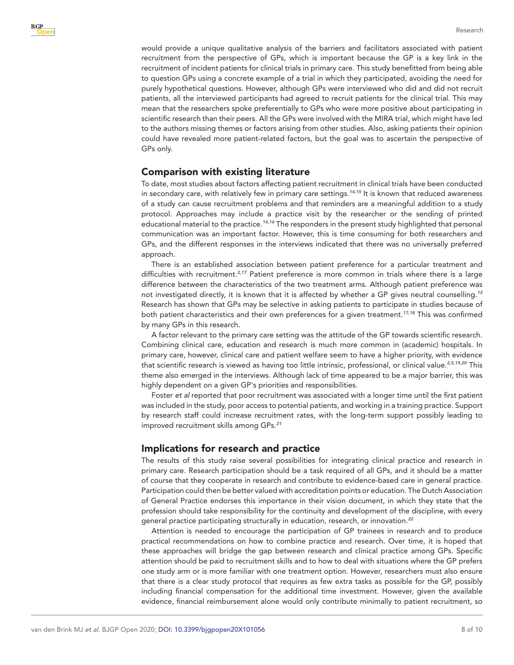would provide a unique qualitative analysis of the barriers and facilitators associated with patient recruitment from the perspective of GPs, which is important because the GP is a key link in the recruitment of incident patients for clinical trials in primary care. This study benefitted from being able to question GPs using a concrete example of a trial in which they participated, avoiding the need for purely hypothetical questions. However, although GPs were interviewed who did and did not recruit patients, all the interviewed participants had agreed to recruit patients for the clinical trial. This may mean that the researchers spoke preferentially to GPs who were more positive about participating in scientific research than their peers. All the GPs were involved with the MIRA trial, which might have led to the authors missing themes or factors arising from other studies. Also, asking patients their opinion could have revealed more patient-related factors, but the goal was to ascertain the perspective of GPs only.

## Comparison with existing literature

To date, most studies about factors affecting patient recruitment in clinical trials have been conducted in secondary care, with relatively few in primary care settings.*[14,15](#page-9-1)* It is known that reduced awareness of a study can cause recruitment problems and that reminders are a meaningful addition to a study protocol. Approaches may include a practice visit by the researcher or the sending of printed educational material to the practice.*[14,16](#page-9-1)* The responders in the present study highlighted that personal communication was an important factor. However, this is time consuming for both researchers and GPs, and the different responses in the interviews indicated that there was no universally preferred approach.

There is an established association between patient preference for a particular treatment and difficulties with recruitment.*[2,17](#page-8-1)* Patient preference is more common in trials where there is a large difference between the characteristics of the two treatment arms. Although patient preference was not investigated directly, it is known that it is affected by whether a GP gives neutral counselling.*[12](#page-8-9)* Research has shown that GPs may be selective in asking patients to participate in studies because of both patient characteristics and their own preferences for a given treatment.*[17,18](#page-9-2)* This was confirmed by many GPs in this research.

A factor relevant to the primary care setting was the attitude of the GP towards scientific research. Combining clinical care, education and research is much more common in (academic) hospitals. In primary care, however, clinical care and patient welfare seem to have a higher priority, with evidence that scientific research is viewed as having too little intrinsic, professional, or clinical value.*[2,5,19,20](#page-8-1)* This theme also emerged in the interviews. Although lack of time appeared to be a major barrier, this was highly dependent on a given GP's priorities and responsibilities.

Foster *et al* reported that poor recruitment was associated with a longer time until the first patient was included in the study, poor access to potential patients, and working in a training practice. Support by research staff could increase recruitment rates, with the long-term support possibly leading to improved recruitment skills among GPs.*[21](#page-9-3)*

#### Implications for research and practice

The results of this study raise several possibilities for integrating clinical practice and research in primary care. Research participation should be a task required of all GPs, and it should be a matter of course that they cooperate in research and contribute to evidence-based care in general practice. Participation could then be better valued with accreditation points or education. The Dutch Association of General Practice endorses this importance in their vision document, in which they state that the profession should take responsibility for the continuity and development of the discipline, with every general practice participating structurally in education, research, or innovation.*[22](#page-9-4)*

Attention is needed to encourage the participation of GP trainees in research and to produce practical recommendations on how to combine practice and research. Over time, it is hoped that these approaches will bridge the gap between research and clinical practice among GPs. Specific attention should be paid to recruitment skills and to how to deal with situations where the GP prefers one study arm or is more familiar with one treatment option. However, researchers must also ensure that there is a clear study protocol that requires as few extra tasks as possible for the GP, possibly including financial compensation for the additional time investment. However, given the available evidence, financial reimbursement alone would only contribute minimally to patient recruitment, so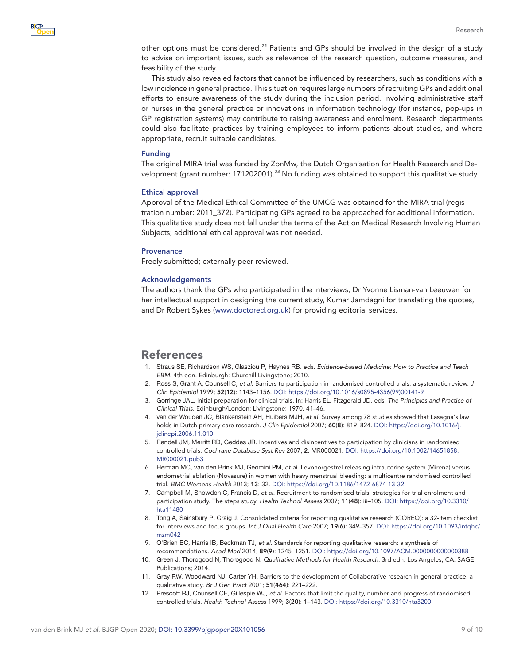

other options must be considered.*[23](#page-9-5)* Patients and GPs should be involved in the design of a study to advise on important issues, such as relevance of the research question, outcome measures, and feasibility of the study.

This study also revealed factors that cannot be influenced by researchers, such as conditions with a low incidence in general practice. This situation requires large numbers of recruiting GPs and additional efforts to ensure awareness of the study during the inclusion period. Involving administrative staff or nurses in the general practice or innovations in information technology (for instance, pop-ups in GP registration systems) may contribute to raising awareness and enrolment. Research departments could also facilitate practices by training employees to inform patients about studies, and where appropriate, recruit suitable candidates.

#### Funding

The original MIRA trial was funded by ZonMw, the Dutch Organisation for Health Research and Development (grant number: 171202001).*[24](#page-9-6)* No funding was obtained to support this qualitative study.

#### Ethical approval

Approval of the Medical Ethical Committee of the UMCG was obtained for the MIRA trial (registration number: 2011\_372). Participating GPs agreed to be approached for additional information. This qualitative study does not fall under the terms of the Act on Medical Research Involving Human Subjects; additional ethical approval was not needed.

#### **Provenance**

Freely submitted; externally peer reviewed.

#### Acknowledgements

The authors thank the GPs who participated in the interviews, Dr Yvonne Lisman-van Leeuwen for her intellectual support in designing the current study, Kumar Jamdagni for translating the quotes, and Dr Robert Sykes [\(www.doctored.org.uk\)](www.doctored.org.uk) for providing editorial services.

## References

- <span id="page-8-0"></span>1. Straus SE, Richardson WS, Glasziou P, Haynes RB. eds. *Evidence-based Medicine: How to Practice and Teach EBM*. 4th edn. Edinburgh: Churchill Livingstone; 2010.
- <span id="page-8-1"></span>2. Ross S, Grant A, Counsell C, *et al*. Barriers to participation in randomised controlled trials: a systematic review. *J Clin Epidemiol* 1999; 52(12): 1143–1156. DOI: [https://doi.org/10.1016/s0895-4356\(99\)00141-9](https://doi.org/10.1016/s0895-4356(99)00141-9)
- <span id="page-8-2"></span>3. Gorringe JAL. Initial preparation for clinical trials. In: Harris EL, Fitzgerald JD, eds. *The Principles and Practice of Clinical Trials*. Edinburgh/London: Livingstone; 1970. 41–46.
- <span id="page-8-3"></span>4. van der Wouden JC, Blankenstein AH, Huibers MJH, *et al*. Survey among 78 studies showed that Lasagna's law holds in Dutch primary care research. *J Clin Epidemiol* 2007; 60(8): 819–824. DOI: [https://doi.org/10.1016/j.](https://doi.org/10.1016/j.jclinepi.2006.11.010) [jclinepi.2006.11.010](https://doi.org/10.1016/j.jclinepi.2006.11.010)
- <span id="page-8-8"></span>5. Rendell JM, Merritt RD, Geddes JR. Incentives and disincentives to participation by clinicians in randomised controlled trials. *Cochrane Database Syst Rev* 2007; 2: MR000021. DOI: [https://doi.org/10.1002/14651858.](https://doi.org/10.1002/14651858.MR000021.pub3) [MR000021.pub3](https://doi.org/10.1002/14651858.MR000021.pub3)
- <span id="page-8-4"></span>6. Herman MC, van den Brink MJ, Geomini PM, *et al*. Levonorgestrel releasing intrauterine system (Mirena) versus endometrial ablation (Novasure) in women with heavy menstrual bleeding: a multicentre randomised controlled trial. *BMC Womens Health* 2013; 13: 32. DOI:<https://doi.org/10.1186/1472-6874-13-32>
- <span id="page-8-5"></span>7. Campbell M, Snowdon C, Francis D, *et al*. Recruitment to randomised trials: strategies for trial enrolment and participation study. The steps study. *Health Technol Assess* 2007; 11(48): iii–105. DOI: [https://doi.org/10.3310/](https://doi.org/10.3310/hta11480) [hta11480](https://doi.org/10.3310/hta11480)
- <span id="page-8-6"></span>8. Tong A, Sainsbury P, Craig J. Consolidated criteria for reporting qualitative research (COREQ): a 32-item checklist for interviews and focus groups. *Int J Qual Health Care* 2007; 19(6): 349–357. DOI: [https://doi.org/10.1093/intqhc/](https://doi.org/10.1093/intqhc/mzm042) [mzm042](https://doi.org/10.1093/intqhc/mzm042)
- 9. O'Brien BC, Harris IB, Beckman TJ, *et al*. Standards for reporting qualitative research: a synthesis of recommendations. *Acad Med* 2014; 89(9): 1245–1251. DOI:<https://doi.org/10.1097/ACM.0000000000000388>
- <span id="page-8-7"></span>10. Green J, Thorogood N, Thorogood N. *Qualitative Methods for Health Research*. 3rd edn. Los Angeles, CA: SAGE Publications; 2014.
- 11. Gray RW, Woodward NJ, Carter YH. Barriers to the development of Collaborative research in general practice: a qualitative study. *Br J Gen Pract* 2001; 51(464): 221–222.
- <span id="page-8-9"></span>12. Prescott RJ, Counsell CE, Gillespie WJ, *et al*. Factors that limit the quality, number and progress of randomised controlled trials. *Health Technol Assess* 1999; 3(20): 1–143. DOI:<https://doi.org/10.3310/hta3200>